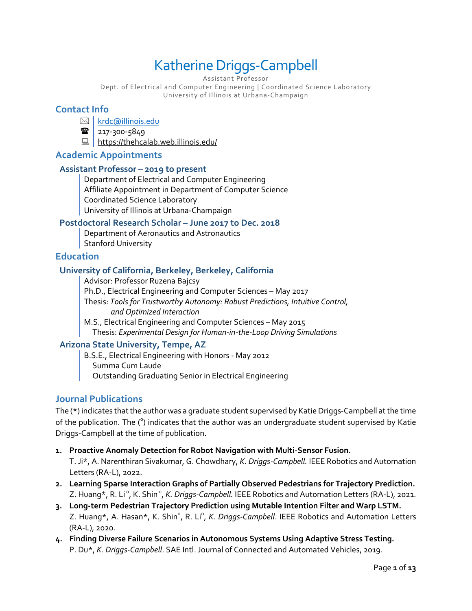# Katherine Driggs-Campbell

Assistant Professor

Dept. of Electrical and Computer Engineering | Coordinated Science Laboratory University of Illinois at Urbana-Champaign

### **Contact Info**

⊠ | krdc@illinois.edu

 $\mathbf{r}$  217-300-5849

 $\Box$  https://thehcalab.web.illinois.edu/

### **Academic Appointments**

#### **Assistant Professor – 2019 to present**

Department of Electrical and Computer Engineering Affiliate Appointment in Department of Computer Science Coordinated Science Laboratory University of Illinois at Urbana-Champaign

### **Postdoctoral Research Scholar – June 2017 to Dec. 2018**

Department of Aeronautics and Astronautics Stanford University

### **Education**

### **University of California, Berkeley, Berkeley, California**

Advisor: Professor Ruzena Bajcsy Ph.D., Electrical Engineering and Computer Sciences – May 2017 Thesis: *Tools for Trustworthy Autonomy: Robust Predictions, Intuitive Control, and Optimized Interaction* M.S., Electrical Engineering and Computer Sciences – May 2015

Thesis: *Experimental Design for Human-in-the-Loop Driving Simulations*

### **Arizona State University, Tempe, AZ**

B.S.E., Electrical Engineering with Honors - May 2012 Summa Cum Laude Outstanding Graduating Senior in Electrical Engineering

### **Journal Publications**

The (\*) indicates that the author was a graduate student supervised by Katie Driggs-Campbell at the time of the publication. The  $(°)$  indicates that the author was an undergraduate student supervised by Katie Driggs-Campbell at the time of publication.

- **1. Proactive Anomaly Detection for Robot Navigation with Multi-Sensor Fusion.** T. Ji\*, A. Narenthiran Sivakumar, G. Chowdhary, *K. Driggs-Campbell.* IEEE Robotics and Automation Letters (RA-L), 2022.
- **2. Learning Sparse Interaction Graphs of Partially Observed Pedestrians for Trajectory Prediction.** Z. Huang\*, R. Li°, K. Shin°, *K. Driggs-Campbell.* IEEE Robotics and Automation Letters (RA-L), 2021.
- **3. Long-term Pedestrian Trajectory Prediction using Mutable Intention Filter and Warp LSTM.** Z. Huang\*, A. Hasan\*, K. Shin<sup>o</sup>, R. Li<sup>o</sup>, *K. Driggs-Campbell*. IEEE Robotics and Automation Letters (RA-L), 2020.
- **4. Finding Diverse Failure Scenarios in Autonomous Systems Using Adaptive Stress Testing.** P. Du\*, *K. Driggs-Campbell*. SAE Intl. Journal of Connected and Automated Vehicles, 2019.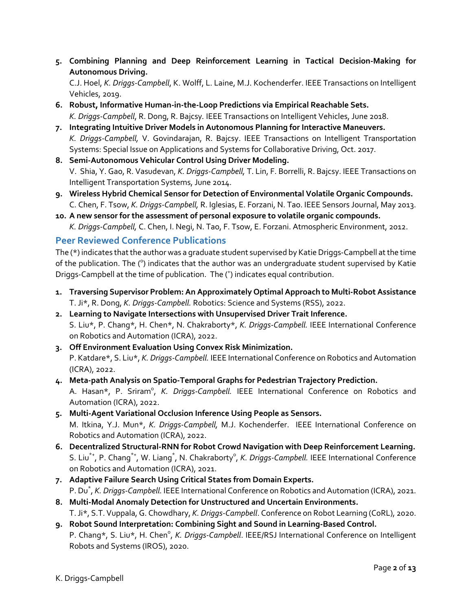**5. Combining Planning and Deep Reinforcement Learning in Tactical Decision-Making for Autonomous Driving.**

C.J. Hoel, *K. Driggs-Campbell*, K. Wolff, L. Laine, M.J. Kochenderfer. IEEE Transactions on Intelligent Vehicles, 2019.

- **6. Robust, Informative Human-in-the-Loop Predictions via Empirical Reachable Sets.** *K. Driggs-Campbell*, R. Dong, R. Bajcsy*.* IEEE Transactions on Intelligent Vehicles, June 2018.
- **7. Integrating Intuitive Driver Models in Autonomous Planning for Interactive Maneuvers.** *K. Driggs-Campbell,* V. Govindarajan, R. Bajcsy. IEEE Transactions on Intelligent Transportation Systems: Special Issue on Applications and Systems for Collaborative Driving, Oct. 2017.
- **8. Semi-Autonomous Vehicular Control Using Driver Modeling.** V. Shia, Y. Gao, R. Vasudevan, *K. Driggs-Campbell,* T. Lin, F. Borrelli, R. Bajcsy. IEEE Transactions on Intelligent Transportation Systems, June 2014.
- **9. Wireless Hybrid Chemical Sensor for Detection of Environmental Volatile Organic Compounds.** C. Chen, F. Tsow, *K. Driggs-Campbell,* R. Iglesias, E. Forzani, N. Tao. IEEE Sensors Journal, May 2013.
- **10. A new sensor for the assessment of personal exposure to volatile organic compounds.** *K. Driggs-Campbell,* C. Chen, I. Negi, N. Tao, F. Tsow, E. Forzani. Atmospheric Environment, 2012.

### **Peer Reviewed Conference Publications**

The (\*) indicates that the author was a graduate student supervised by Katie Driggs-Campbell at the time of the publication. The (°) indicates that the author was an undergraduate student supervised by Katie Driggs-Campbell at the time of publication. The (<sup>+</sup>) indicates equal contribution.

- **1. Traversing Supervisor Problem: An Approximately Optimal Approach to Multi-Robot Assistance** T. Ji\*, R. Dong, *K. Driggs-Campbell.* Robotics: Science and Systems (RSS), 2022.
- **2. Learning to Navigate Intersections with Unsupervised Driver Trait Inference.** S. Liu\*, P. Chang\*, H. Chen\*, N. Chakraborty\*, *K. Driggs-Campbell.* IEEE International Conference on Robotics and Automation (ICRA), 2022.
- **3. Off Environment Evaluation Using Convex Risk Minimization.** P. Katdare\*, S. Liu\*, *K. Driggs-Campbell.* IEEE International Conference on Robotics and Automation (ICRA), 2022.
- **4. Meta-path Analysis on Spatio-Temporal Graphs for Pedestrian Trajectory Prediction.** A. Hasan\*, P. Sriram<sup>o</sup>, *K. Driggs-Campbell.* IEEE International Conference on Robotics and Automation (ICRA), 2022.
- **5. Multi-Agent Variational Occlusion Inference Using People as Sensors.** M. Itkina, Y.J. Mun\*, *K. Driggs-Campbell,* M.J. Kochenderfer. IEEE International Conference on Robotics and Automation (ICRA), 2022.
- **6. Decentralized Structural-RNN for Robot Crowd Navigation with Deep Reinforcement Learning.** S. Liu<sup>\*+</sup>, P. Chang<sup>\*+</sup>, W. Liang<sup>\*</sup>, N. Chakraborty<sup>o</sup>, *K. Driggs-Campbell.* IEEE International Conference on Robotics and Automation (ICRA), 2021.
- **7. Adaptive Failure Search Using Critical States from Domain Experts.** P. Du\* , *K. Driggs-Campbell.* IEEE International Conference on Robotics and Automation (ICRA), 2021.
- **8. Multi-Modal Anomaly Detection for Unstructured and Uncertain Environments.** T. Ji\*, S.T. Vuppala, G. Chowdhary, *K. Driggs-Campbell*. Conference on Robot Learning (CoRL), 2020.
- **9. Robot Sound Interpretation: Combining Sight and Sound in Learning-Based Control.** P. Chang\*, S. Liu\*, H. Chen<sup>o</sup>, *K. Driggs-Campbell*. IEEE/RSJ International Conference on Intelligent Robots and Systems (IROS), 2020.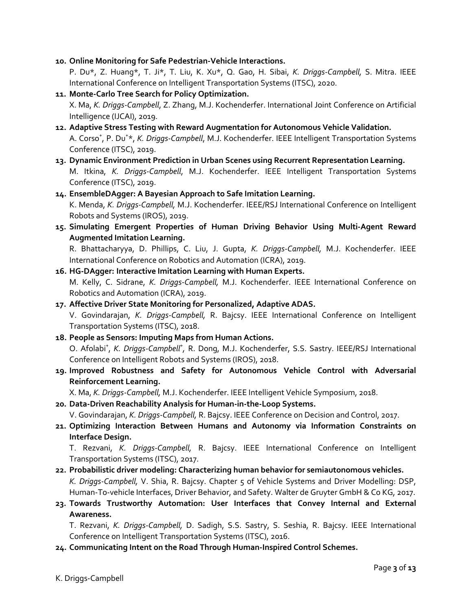**10. Online Monitoring for Safe Pedestrian-Vehicle Interactions.**

P. Du\*, Z. Huang\*, T. Ji\*, T. Liu, K. Xu\*, Q. Gao, H. Sibai, *K. Driggs-Campbell,* S. Mitra. IEEE International Conference on Intelligent Transportation Systems (ITSC), 2020.

- **11. Monte-Carlo Tree Search for Policy Optimization.** X. Ma, *K. Driggs-Campbell*, Z. Zhang, M.J. Kochenderfer. International Joint Conference on Artificial Intelligence (IJCAI), 2019.
- **12. Adaptive Stress Testing with Reward Augmentation for Autonomous Vehicle Validation.** A. Corso<sup>+</sup>, P. Du<sup>+\*</sup>, *K. Driggs-Campbell*, M.J. Kochenderfer. IEEE Intelligent Transportation Systems Conference (ITSC), 2019.
- **13. Dynamic Environment Prediction in Urban Scenes using Recurrent Representation Learning.** M. Itkina, *K. Driggs-Campbell*, M.J. Kochenderfer. IEEE Intelligent Transportation Systems Conference (ITSC), 2019.
- **14. EnsembleDAgger: A Bayesian Approach to Safe Imitation Learning.**

K. Menda, *K. Driggs-Campbell,* M.J. Kochenderfer. IEEE/RSJ International Conference on Intelligent Robots and Systems (IROS), 2019.

**15. Simulating Emergent Properties of Human Driving Behavior Using Multi-Agent Reward Augmented Imitation Learning.**

R. Bhattacharyya, D. Phillips, C. Liu, J. Gupta, *K. Driggs-Campbell,* M.J. Kochenderfer. IEEE International Conference on Robotics and Automation (ICRA), 2019.

### **16. HG-DAgger: Interactive Imitation Learning with Human Experts.** M. Kelly, C. Sidrane, *K. Driggs-Campbell,* M.J. Kochenderfer. IEEE International Conference on Robotics and Automation (ICRA), 2019.

### **17. Affective Driver State Monitoring for Personalized, Adaptive ADAS.**

V. Govindarajan, *K. Driggs-Campbell,* R. Bajcsy. IEEE International Conference on Intelligent Transportation Systems (ITSC), 2018.

#### **18. People as Sensors: Imputing Maps from Human Actions.**

O. Afolabi<sup>+</sup>, *K. Driggs-Campbell<sup>+</sup>*, R. Dong, M.J. Kochenderfer, S.S. Sastry. IEEE/RSJ International Conference on Intelligent Robots and Systems (IROS), 2018.

**19. Improved Robustness and Safety for Autonomous Vehicle Control with Adversarial Reinforcement Learning.**

X. Ma, *K. Driggs-Campbell,* M.J. Kochenderfer. IEEE Intelligent Vehicle Symposium, 2018.

**20. Data-Driven Reachability Analysis for Human-in-the-Loop Systems.**

V. Govindarajan, *K. Driggs-Campbell,* R. Bajcsy. IEEE Conference on Decision and Control, 2017.

**21. Optimizing Interaction Between Humans and Autonomy via Information Constraints on Interface Design.**

T. Rezvani, *K. Driggs-Campbell,* R. Bajcsy. IEEE International Conference on Intelligent Transportation Systems (ITSC), 2017.

- **22. Probabilistic driver modeling: Characterizing human behavior for semiautonomous vehicles.** *K. Driggs-Campbell,* V. Shia, R. Bajcsy. Chapter 5 of Vehicle Systems and Driver Modelling: DSP, Human-To-vehicle Interfaces, Driver Behavior, and Safety. Walter de Gruyter GmbH & Co KG, 2017.
- **23. Towards Trustworthy Automation: User Interfaces that Convey Internal and External Awareness.**

T. Rezvani, *K. Driggs-Campbell,* D. Sadigh, S.S. Sastry, S. Seshia, R. Bajcsy. IEEE International Conference on Intelligent Transportation Systems (ITSC), 2016.

**24. Communicating Intent on the Road Through Human-Inspired Control Schemes.**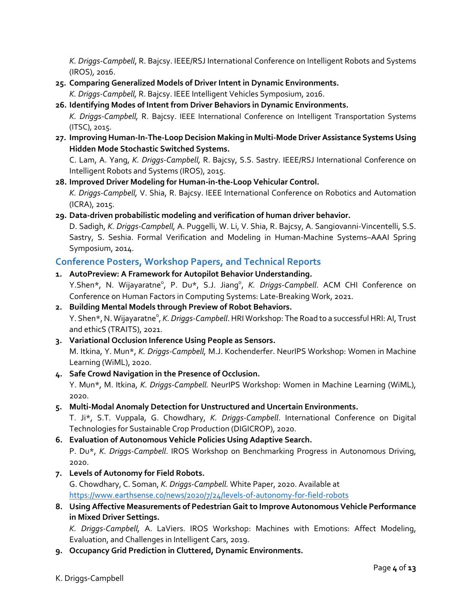*K. Driggs-Campbell*, R. Bajcsy. IEEE/RSJ International Conference on Intelligent Robots and Systems (IROS), 2016.

**25. Comparing Generalized Models of Driver Intent in Dynamic Environments.**

*K. Driggs-Campbell,* R. Bajcsy. IEEE Intelligent Vehicles Symposium, 2016.

### **26. Identifying Modes of Intent from Driver Behaviors in Dynamic Environments.**

*K. Driggs-Campbell,* R. Bajcsy. IEEE International Conference on Intelligent Transportation Systems (ITSC), 2015.

**27. Improving Human-In-The-Loop Decision Making in Multi-Mode Driver Assistance Systems Using Hidden Mode Stochastic Switched Systems.**

C. Lam, A. Yang, *K. Driggs-Campbell,* R. Bajcsy, S.S. Sastry. IEEE/RSJ International Conference on Intelligent Robots and Systems (IROS), 2015.

### **28. Improved Driver Modeling for Human-in-the-Loop Vehicular Control.**

*K. Driggs-Campbell,* V. Shia, R. Bajcsy. IEEE International Conference on Robotics and Automation (ICRA), 2015.

### **29. Data-driven probabilistic modeling and verification of human driver behavior.**

D. Sadigh, *K. Driggs-Campbell,* A. Puggelli, W. Li, V. Shia, R. Bajcsy, A. Sangiovanni-Vincentelli, S.S. Sastry, S. Seshia. Formal Verification and Modeling in Human-Machine Systems–AAAI Spring Symposium, 2014.

### **Conference Posters, Workshop Papers, and Technical Reports**

### **1. AutoPreview: A Framework for Autopilot Behavior Understanding.**

Y.Shen\*, N. Wijayaratne<sup>o</sup>, P. Du\*, S.J. Jiang<sup>o</sup>, *K. Driggs-Campbell*. ACM CHI Conference on Conference on Human Factors in Computing Systems: Late-Breaking Work, 2021.

**2. Building Mental Models through Preview of Robot Behaviors.** Y. Shen\*, N. Wijayaratne<sup>o</sup>, *K. Driggs-Campbell*. HRI Workshop: The Road to a successful HRI: AI, Trust and ethicS (TRAITS), 2021.

### **3. Variational Occlusion Inference Using People as Sensors.** M. Itkina, Y. Mun\*, *K. Driggs-Campbell,* M.J. Kochenderfer. NeurIPS Workshop: Women in Machine Learning (WiML), 2020.

### **4. Safe Crowd Navigation in the Presence of Occlusion.**

Y. Mun\*, M. Itkina, *K. Driggs-Campbell.* NeurIPS Workshop: Women in Machine Learning (WiML), 2020.

### **5. Multi-Modal Anomaly Detection for Unstructured and Uncertain Environments.**

T. Ji\*, S.T. Vuppala, G. Chowdhary, *K. Driggs-Campbell*. International Conference on Digital Technologies for Sustainable Crop Production (DIGICROP), 2020.

### **6. Evaluation of Autonomous Vehicle Policies Using Adaptive Search.** P. Du\*, *K. Driggs-Campbell*. IROS Workshop on Benchmarking Progress in Autonomous Driving, 2020.

**7. Levels of Autonomy for Field Robots.** G. Chowdhary, C. Soman, *K. Driggs-Campbell.* White Paper, 2020. Available at

https://www.earthsense.co/news/2020/7/24/levels-of-autonomy-for-field-robots

**8. Using Affective Measurements of Pedestrian Gait to Improve Autonomous Vehicle Performance in Mixed Driver Settings.**

*K. Driggs-Campbell,* A. LaViers. IROS Workshop: Machines with Emotions: Affect Modeling, Evaluation, and Challenges in Intelligent Cars, 2019.

**9. Occupancy Grid Prediction in Cluttered, Dynamic Environments.**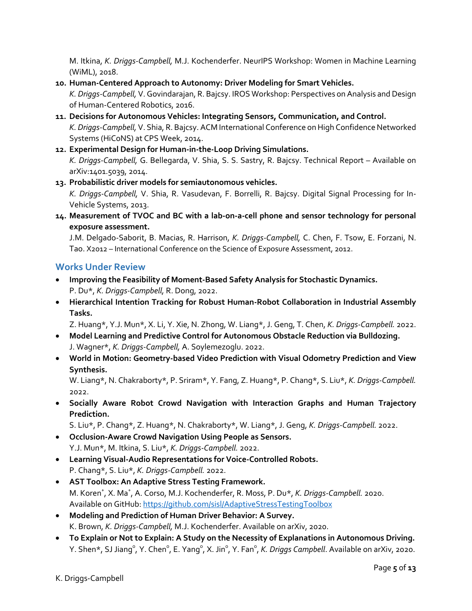M. Itkina, *K. Driggs-Campbell,* M.J. Kochenderfer. NeurIPS Workshop: Women in Machine Learning (WiML), 2018.

**10. Human-Centered Approach to Autonomy: Driver Modeling for Smart Vehicles.**

*K. Driggs-Campbell,* V. Govindarajan, R. Bajcsy. IROS Workshop: Perspectives on Analysis and Design of Human-Centered Robotics, 2016.

- **11. Decisions for Autonomous Vehicles: Integrating Sensors, Communication, and Control.** *K. Driggs-Campbell,* V. Shia, R. Bajcsy. ACM International Conference on High Confidence Networked Systems (HiCoNS) at CPS Week, 2014.
- **12. Experimental Design for Human-in-the-Loop Driving Simulations.** *K. Driggs-Campbell,* G. Bellegarda, V. Shia, S. S. Sastry, R. Bajcsy. Technical Report – Available on arXiv:1401.5039, 2014.
- **13. Probabilistic driver models for semiautonomous vehicles.** *K. Driggs-Campbell,* V. Shia, R. Vasudevan, F. Borrelli, R. Bajcsy. Digital Signal Processing for In-Vehicle Systems, 2013.
- **14. Measurement of TVOC and BC with a lab-on-a-cell phone and sensor technology for personal exposure assessment.**

J.M. Delgado-Saborit, B. Macias, R. Harrison, *K. Driggs-Campbell,* C. Chen, F. Tsow, E. Forzani, N. Tao. X2012 – International Conference on the Science of Exposure Assessment, 2012.

### **Works Under Review**

- **Improving the Feasibility of Moment-Based Safety Analysis for Stochastic Dynamics.** P. Du\*, *K. Driggs-Campbell,* R. Dong, 2022.
- **Hierarchical Intention Tracking for Robust Human-Robot Collaboration in Industrial Assembly Tasks.**

Z. Huang\*, Y.J. Mun\*, X. Li, Y. Xie, N. Zhong, W. Liang\*, J. Geng, T. Chen, *K. Driggs-Campbell.* 2022.

- **Model Learning and Predictive Control for Autonomous Obstacle Reduction via Bulldozing.** J. Wagner\*, *K. Driggs-Campbell,* A. Soylemezoglu. 2022.
- **World in Motion: Geometry-based Video Prediction with Visual Odometry Prediction and View Synthesis.**

W. Liang\*, N. Chakraborty\*, P. Sriram\*, Y. Fang, Z. Huang\*, P. Chang\*, S. Liu\*, *K. Driggs-Campbell.*  2022.

• **Socially Aware Robot Crowd Navigation with Interaction Graphs and Human Trajectory Prediction.**

S. Liu\*, P. Chang\*, Z. Huang\*, N. Chakraborty\*, W. Liang\*, J. Geng, *K. Driggs-Campbell.* 2022.

- **Occlusion-Aware Crowd Navigation Using People as Sensors.** Y.J. Mun\*, M. Itkina, S. Liu\*, *K. Driggs-Campbell.* 2022.
- **Learning Visual-Audio Representations for Voice-Controlled Robots.** P. Chang\*, S. Liu\*, *K. Driggs-Campbell.* 2022.
- **AST Toolbox: An Adaptive Stress Testing Framework.** M. Koren<sup>+</sup>, X. Ma<sup>+</sup>, A. Corso, M.J. Kochenderfer, R. Moss, P. Du\*, *K. Driggs-Campbell.* 2020. Available on GitHub: https://github.com/sisl/AdaptiveStressTestingToolbox
- **Modeling and Prediction of Human Driver Behavior: A Survey.** K. Brown, *K. Driggs-Campbell,* M.J. Kochenderfer. Available on arXiv, 2020.
- **To Explain or Not to Explain: A Study on the Necessity of Explanations in Autonomous Driving.** Y. Shen\*, SJ Jiang<sup>o</sup>, Y. Chen<sup>o</sup>, E. Yang<sup>o</sup>, X. Jin<sup>o</sup>, Y. Fan<sup>o</sup>, *K. Driggs Campbell*. Available on arXiv, 2020.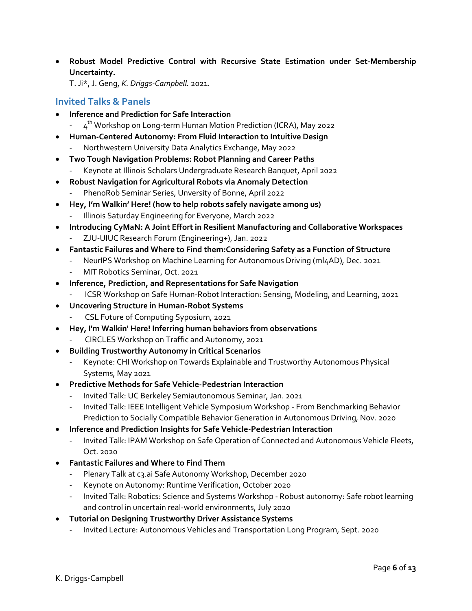• **Robust Model Predictive Control with Recursive State Estimation under Set-Membership Uncertainty.**

T. Ji\*, J. Geng, *K. Driggs-Campbell.* 2021.

### **Invited Talks & Panels**

- **Inference and Prediction for Safe Interaction**
	- $4<sup>th</sup>$  Workshop on Long-term Human Motion Prediction (ICRA), May 2022
- **Human-Centered Autonomy: From Fluid Interaction to Intuitive Design**
	- Northwestern University Data Analytics Exchange, May 2022
- **Two Tough Navigation Problems: Robot Planning and Career Paths**
	- Keynote at Illinois Scholars Undergraduate Research Banquet, April 2022
- **Robust Navigation for Agricultural Robots via Anomaly Detection**
	- PhenoRob Seminar Series, Unversity of Bonne, April 2022
- **Hey, I'm Walkin' Here! (how to help robots safely navigate among us)** Illinois Saturday Engineering for Everyone, March 2022
- **Introducing CyMaN: A Joint Effort in Resilient Manufacturing and Collaborative Workspaces**
	- ZJU-UIUC Research Forum (Engineering+), Jan. 2022
- **Fantastic Failures and Where to Find them:Considering Safety as a Function of Structure**
	- NeurIPS Workshop on Machine Learning for Autonomous Driving (ml4AD), Dec. 2021
	- MIT Robotics Seminar, Oct. 2021
- **Inference, Prediction, and Representations for Safe Navigation**
	- ICSR Workshop on Safe Human-Robot Interaction: Sensing, Modeling, and Learning, 2021
- **Uncovering Structure in Human-Robot Systems**
	- CSL Future of Computing Syposium, 2021
- **Hey, I'm Walkin' Here! Inferring human behaviors from observations**
	- CIRCLES Workshop on Traffic and Autonomy, 2021
- **Building Trustworthy Autonomy in Critical Scenarios**
	- Keynote: CHI Workshop on Towards Explainable and Trustworthy Autonomous Physical Systems, May 2021
- **Predictive Methods for Safe Vehicle-Pedestrian Interaction**
	- Invited Talk: UC Berkeley Semiautonomous Seminar, Jan. 2021
	- Invited Talk: IEEE Intelligent Vehicle Symposium Workshop From Benchmarking Behavior Prediction to Socially Compatible Behavior Generation in Autonomous Driving, Nov. 2020
- **Inference and Prediction Insights for Safe Vehicle-Pedestrian Interaction**
	- Invited Talk: IPAM Workshop on Safe Operation of Connected and Autonomous Vehicle Fleets, Oct. 2020
- **Fantastic Failures and Where to Find Them**
	- Plenary Talk at c3.ai Safe Autonomy Workshop, December 2020
	- Keynote on Autonomy: Runtime Verification, October 2020
	- Invited Talk: Robotics: Science and Systems Workshop Robust autonomy: Safe robot learning and control in uncertain real-world environments, July 2020
- **Tutorial on Designing Trustworthy Driver Assistance Systems**
	- Invited Lecture: Autonomous Vehicles and Transportation Long Program, Sept. 2020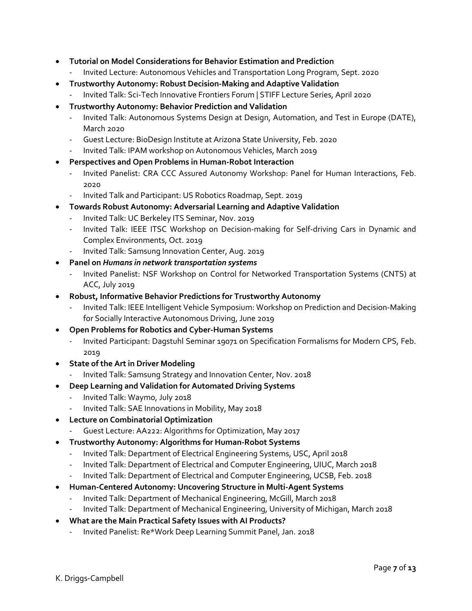- **Tutorial on Model Considerations for Behavior Estimation and Prediction** 
	- Invited Lecture: Autonomous Vehicles and Transportation Long Program, Sept. 2020
- **Trustworthy Autonomy: Robust Decision-Making and Adaptive Validation**
	- Invited Talk: Sci-Tech Innovative Frontiers Forum | STIFF Lecture Series, April 2020
- **Trustworthy Autonomy: Behavior Prediction and Validation**
	- Invited Talk: Autonomous Systems Design at Design, Automation, and Test in Europe (DATE), March 2020
	- Guest Lecture: BioDesign Institute at Arizona State University, Feb. 2020
	- Invited Talk: IPAM workshop on Autonomous Vehicles, March 2019
- **Perspectives and Open Problems in Human-Robot Interaction**
	- Invited Panelist: CRA CCC Assured Autonomy Workshop: Panel for Human Interactions, Feb. 2020
	- Invited Talk and Participant: US Robotics Roadmap, Sept. 2019
- **Towards Robust Autonomy: Adversarial Learning and Adaptive Validation**
	- Invited Talk: UC Berkeley ITS Seminar, Nov. 2019
	- Invited Talk: IEEE ITSC Workshop on Decision-making for Self-driving Cars in Dynamic and Complex Environments, Oct. 2019
	- Invited Talk: Samsung Innovation Center, Aug. 2019
- **Panel on** *Humans in network transportation systems*
	- Invited Panelist: NSF Workshop on Control for Networked Transportation Systems (CNTS) at ACC, July 2019
- **Robust, Informative Behavior Predictions for Trustworthy Autonomy**
	- Invited Talk: IEEE Intelligent Vehicle Symposium: Workshop on Prediction and Decision-Making for Socially Interactive Autonomous Driving, June 2019
- **Open Problems for Robotics and Cyber-Human Systems**
	- Invited Participant: Dagstuhl Seminar 19071 on Specification Formalisms for Modern CPS, Feb. 2019
- **State of the Art in Driver Modeling**
	- Invited Talk: Samsung Strategy and Innovation Center, Nov. 2018
- **Deep Learning and Validation for Automated Driving Systems**
	- Invited Talk: Waymo, July 2018
	- Invited Talk: SAE Innovations in Mobility, May 2018
- **Lecture on Combinatorial Optimization**
	- Guest Lecture: AA222: Algorithms for Optimization, May 2017
- **Trustworthy Autonomy: Algorithms for Human-Robot Systems**
	- Invited Talk: Department of Electrical Engineering Systems, USC, April 2018
	- Invited Talk: Department of Electrical and Computer Engineering, UIUC, March 2018
	- Invited Talk: Department of Electrical and Computer Engineering, UCSB, Feb. 2018
- **Human-Centered Autonomy: Uncovering Structure in Multi-Agent Systems**
	- Invited Talk: Department of Mechanical Engineering, McGill, March 2018
	- Invited Talk: Department of Mechanical Engineering, University of Michigan, March 2018
- **What are the Main Practical Safety Issues with AI Products?**
	- Invited Panelist: Re\*Work Deep Learning Summit Panel, Jan. 2018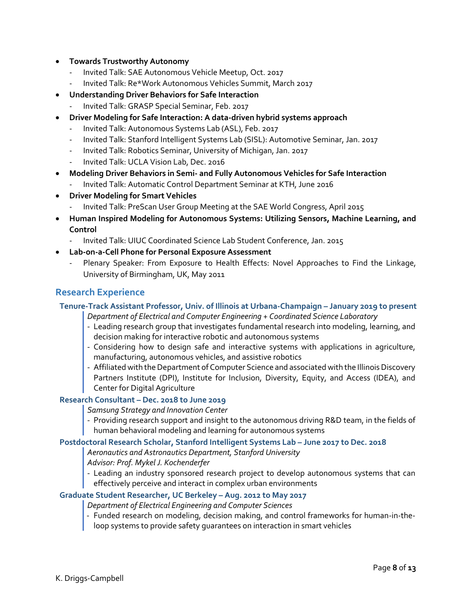- **Towards Trustworthy Autonomy**
	- Invited Talk: SAE Autonomous Vehicle Meetup, Oct. 2017
	- Invited Talk: Re\*Work Autonomous Vehicles Summit, March 2017
- **Understanding Driver Behaviors for Safe Interaction**
	- Invited Talk: GRASP Special Seminar, Feb. 2017
- **Driver Modeling for Safe Interaction: A data-driven hybrid systems approach**
	- Invited Talk: Autonomous Systems Lab (ASL), Feb. 2017
	- Invited Talk: Stanford Intelligent Systems Lab (SISL): Automotive Seminar, Jan. 2017
	- Invited Talk: Robotics Seminar, University of Michigan, Jan. 2017
	- Invited Talk: UCLA Vision Lab, Dec. 2016
- **Modeling Driver Behaviors in Semi- and Fully Autonomous Vehicles for Safe Interaction**
	- Invited Talk: Automatic Control Department Seminar at KTH, June 2016
- **Driver Modeling for Smart Vehicles**
	- Invited Talk: PreScan User Group Meeting at the SAE World Congress, April 2015
- **Human Inspired Modeling for Autonomous Systems: Utilizing Sensors, Machine Learning, and Control**
	- Invited Talk: UIUC Coordinated Science Lab Student Conference, Jan. 2015
- **Lab-on-a-Cell Phone for Personal Exposure Assessment** 
	- Plenary Speaker: From Exposure to Health Effects: Novel Approaches to Find the Linkage, University of Birmingham, UK, May 2011

### **Research Experience**

**Tenure-Track Assistant Professor, Univ. of Illinois at Urbana-Champaign – January 2019 to present**

- *Department of Electrical and Computer Engineering + Coordinated Science Laboratory*
- Leading research group that investigates fundamental research into modeling, learning, and decision making for interactive robotic and autonomous systems
- Considering how to design safe and interactive systems with applications in agriculture, manufacturing, autonomous vehicles, and assistive robotics
- Affiliated with the Department of Computer Science and associated with the Illinois Discovery Partners Institute (DPI), Institute for Inclusion, Diversity, Equity, and Access (IDEA), and Center for Digital Agriculture

### **Research Consultant – Dec. 2018 to June 2019**

*Samsung Strategy and Innovation Center*

- Providing research support and insight to the autonomous driving R&D team, in the fields of human behavioral modeling and learning for autonomous systems

#### **Postdoctoral Research Scholar, Stanford Intelligent Systems Lab – June 2017 to Dec. 2018**

*Aeronautics and Astronautics Department, Stanford University* 

*Advisor: Prof. Mykel J. Kochenderfer*

- Leading an industry sponsored research project to develop autonomous systems that can effectively perceive and interact in complex urban environments

### **Graduate Student Researcher, UC Berkeley – Aug. 2012 to May 2017**

- *Department of Electrical Engineering and Computer Sciences*
- Funded research on modeling, decision making, and control frameworks for human-in-theloop systems to provide safety guarantees on interaction in smart vehicles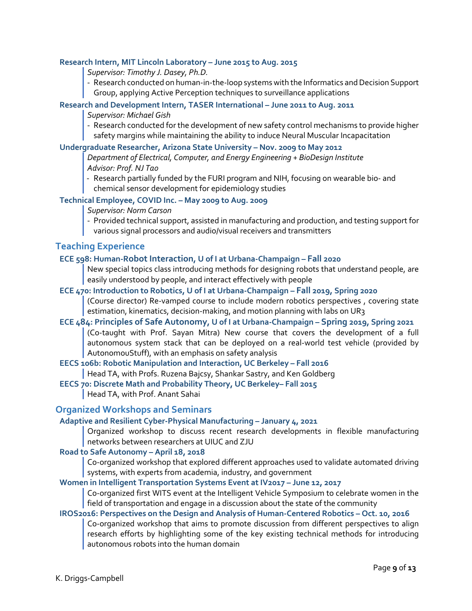#### **Research Intern, MIT Lincoln Laboratory – June 2015 to Aug. 2015**

*Supervisor: Timothy J. Dasey, Ph.D.*

- Research conducted on human-in-the-loop systems with the Informatics and Decision Support Group, applying Active Perception techniques to surveillance applications

#### **Research and Development Intern, TASER International – June 2011 to Aug. 2011**

#### *Supervisor: Michael Gish*

- Research conducted for the development of new safety control mechanisms to provide higher safety margins while maintaining the ability to induce Neural Muscular Incapacitation

#### **Undergraduate Researcher, Arizona State University – Nov. 2009 to May 2012**

*Department of Electrical, Computer, and Energy Engineering + BioDesign Institute Advisor: Prof. NJ Tao*

- Research partially funded by the FURI program and NIH, focusing on wearable bio- and chemical sensor development for epidemiology studies

### **Technical Employee, COVID Inc. – May 2009 to Aug. 2009**

*Supervisor: Norm Carson*

- Provided technical support, assisted in manufacturing and production, and testing support for
- various signal processors and audio/visual receivers and transmitters

### **Teaching Experience**

#### **ECE 598: Human-Robot Interaction, U of I at Urbana-Champaign – Fall 2020**

New special topics class introducing methods for designing robots that understand people, are easily understood by people, and interact effectively with people

#### **ECE 470: Introduction to Robotics, U of I at Urbana-Champaign – Fall 2019, Spring 2020**

(Course director) Re-vamped course to include modern robotics perspectives , covering state estimation, kinematics, decision-making, and motion planning with labs on UR3

#### **ECE 484: Principles of Safe Autonomy, U of I at Urbana-Champaign – Spring 2019, Spring 2021** (Co-taught with Prof. Sayan Mitra) New course that covers the development of a full autonomous system stack that can be deployed on a real-world test vehicle (provided by AutonomouStuff), with an emphasis on safety analysis

**EECS 106b: Robotic Manipulation and Interaction, UC Berkeley – Fall 2016**

Head TA, with Profs. Ruzena Bajcsy, Shankar Sastry, and Ken Goldberg

## **EECS 70: Discrete Math and Probability Theory, UC Berkeley– Fall 2015**

Head TA, with Prof. Anant Sahai

#### **Organized Workshops and Seminars**

#### **Adaptive and Resilient Cyber-Physical Manufacturing – January 4, 2021**

Organized workshop to discuss recent research developments in flexible manufacturing networks between researchers at UIUC and ZJU

#### **Road to Safe Autonomy – April 18, 2018**

Co-organized workshop that explored different approaches used to validate automated driving systems, with experts from academia, industry, and government

#### **Women in Intelligent Transportation Systems Event at IV2017 – June 12, 2017**

Co-organized first WITS event at the Intelligent Vehicle Symposium to celebrate women in the field of transportation and engage in a discussion about the state of the community

#### **IROS2016: Perspectives on the Design and Analysis of Human-Centered Robotics – Oct. 10, 2016**

Co-organized workshop that aims to promote discussion from different perspectives to align research efforts by highlighting some of the key existing technical methods for introducing autonomous robots into the human domain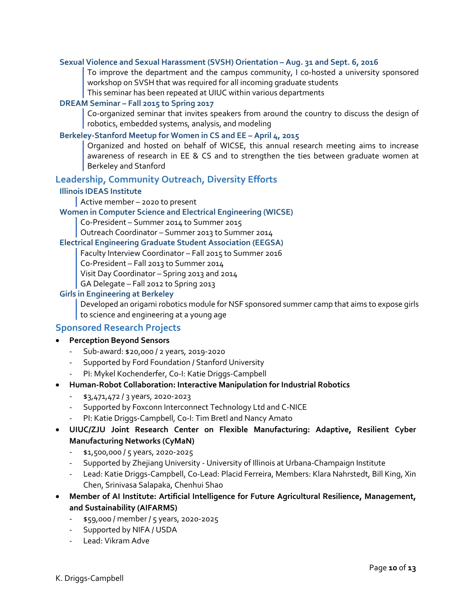#### **Sexual Violence and Sexual Harassment (SVSH) Orientation – Aug. 31 and Sept. 6, 2016**

To improve the department and the campus community, I co-hosted a university sponsored workshop on SVSH that was required for all incoming graduate students

This seminar has been repeated at UIUC within various departments

#### **DREAM Seminar – Fall 2015 to Spring 2017**

Co-organized seminar that invites speakers from around the country to discuss the design of robotics, embedded systems, analysis, and modeling

#### **Berkeley-Stanford Meetup for Women in CS and EE – April 4, 2015**

Organized and hosted on behalf of WICSE, this annual research meeting aims to increase awareness of research in EE & CS and to strengthen the ties between graduate women at Berkeley and Stanford

#### **Leadership, Community Outreach, Diversity Efforts**

#### **Illinois IDEAS Institute**

#### Active member – 2020 to present

#### **Women in Computer Science and Electrical Engineering (WICSE)**

Co-President – Summer 2014 to Summer 2015

Outreach Coordinator – Summer 2013 to Summer 2014

#### **Electrical Engineering Graduate Student Association (EEGSA)**

Faculty Interview Coordinator – Fall 2015 to Summer 2016

Co-President – Fall 2013 to Summer 2014

Visit Day Coordinator – Spring 2013 and 2014

GA Delegate – Fall 2012 to Spring 2013

#### **Girls in Engineering at Berkeley**

Developed an origami robotics module for NSF sponsored summer camp that aims to expose girls to science and engineering at a young age

#### **Sponsored Research Projects**

#### • **Perception Beyond Sensors**

- Sub-award: \$20,000 / 2 years, 2019-2020
- Supported by Ford Foundation / Stanford University
- PI: Mykel Kochenderfer, Co-I: Katie Driggs-Campbell
- **Human-Robot Collaboration: Interactive Manipulation for Industrial Robotics**
	- \$3,471,472 / 3 years, 2020-2023
	- Supported by Foxconn Interconnect Technology Ltd and C-NICE
	- PI: Katie Driggs-Campbell, Co-I: Tim Bretl and Nancy Amato
- **UIUC/ZJU Joint Research Center on Flexible Manufacturing: Adaptive, Resilient Cyber Manufacturing Networks (CyMaN)**
	- \$1,500,000 / 5 years, 2020-2025
	- Supported by Zhejiang University University of Illinois at Urbana-Champaign Institute
	- Lead: Katie Driggs-Campbell, Co-Lead: Placid Ferreira, Members: Klara Nahrstedt, Bill King, Xin Chen, Srinivasa Salapaka, Chenhui Shao
- **Member of AI Institute: Artificial Intelligence for Future Agricultural Resilience, Management, and Sustainability (AIFARMS)**
	- \$59,000 / member / 5 years, 2020-2025
	- Supported by NIFA / USDA
	- Lead: Vikram Adve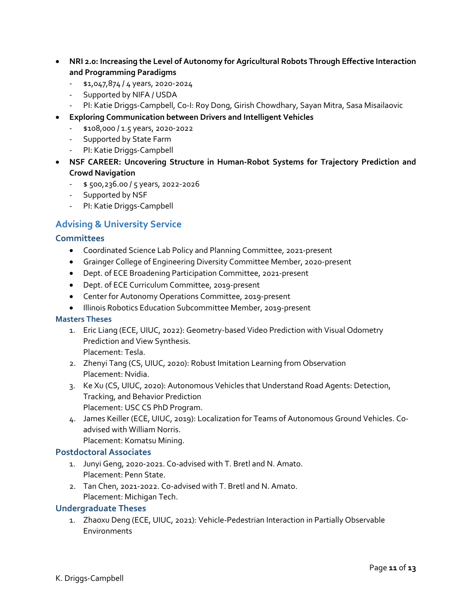- **NRI 2.0: Increasing the Level of Autonomy for Agricultural Robots Through Effective Interaction and Programming Paradigms**
	- \$1,047,874 / 4 years, 2020-2024
	- Supported by NIFA / USDA
	- PI: Katie Driggs-Campbell, Co-I: Roy Dong, Girish Chowdhary, Sayan Mitra, Sasa Misailaovic
- **Exploring Communication between Drivers and Intelligent Vehicles**
	- \$108,000 / 1.5 years, 2020-2022
	- Supported by State Farm
	- PI: Katie Driggs-Campbell
- **NSF CAREER: Uncovering Structure in Human-Robot Systems for Trajectory Prediction and Crowd Navigation**
	- $-$  \$ 500,236.00 / 5 years, 2022-2026
	- Supported by NSF
	- PI: Katie Driggs-Campbell

### **Advising & University Service**

#### **Committees**

- Coordinated Science Lab Policy and Planning Committee, 2021-present
- Grainger College of Engineering Diversity Committee Member, 2020-present
- Dept. of ECE Broadening Participation Committee, 2021-present
- Dept. of ECE Curriculum Committee, 2019-present
- Center for Autonomy Operations Committee, 2019-present
- Illinois Robotics Education Subcommittee Member, 2019-present

#### **Masters Theses**

- 1. Eric Liang (ECE, UIUC, 2022): Geometry-based Video Prediction with Visual Odometry Prediction and View Synthesis. Placement: Tesla.
- 2. Zhenyi Tang (CS, UIUC, 2020): Robust Imitation Learning from Observation Placement: Nvidia.
- 3. Ke Xu (CS, UIUC, 2020): Autonomous Vehicles that Understand Road Agents: Detection, Tracking, and Behavior Prediction Placement: USC CS PhD Program.
- 4. James Keiller (ECE, UIUC, 2019): Localization for Teams of Autonomous Ground Vehicles. Coadvised with William Norris. Placement: Komatsu Mining.

#### **Postdoctoral Associates**

- 1. Junyi Geng, 2020-2021. Co-advised with T. Bretl and N. Amato. Placement: Penn State.
- 2. Tan Chen, 2021-2022. Co-advised with T. Bretl and N. Amato. Placement: Michigan Tech.

#### **Undergraduate Theses**

1. Zhaoxu Deng (ECE, UIUC, 2021): Vehicle-Pedestrian Interaction in Partially Observable **Environments**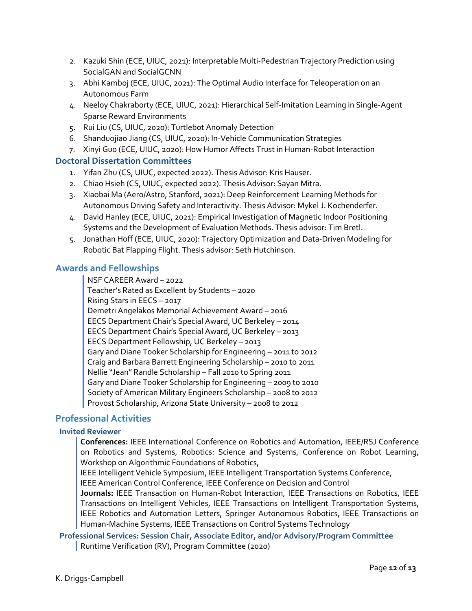- 2. Kazuki Shin (ECE, UIUC, 2021): Interpretable Multi-Pedestrian Trajectory Prediction using SocialGAN and SocialGCNN
- 3. Abhi Kamboj (ECE, UIUC, 2021): The Optimal Audio Interface for Teleoperation on an Autonomous Farm
- 4. Neeloy Chakraborty (ECE, UIUC, 2021): Hierarchical Self-Imitation Learning in Single-Agent Sparse Reward Environments
- 5. Rui Liu (CS, UIUC, 2020): Turtlebot Anomaly Detection
- 6. Shanduojiao Jiang (CS, UIUC, 2020): In-Vehicle Communication Strategies
- 7. Xinyi Guo (ECE, UIUC, 2020): How Humor Affects Trust in Human-Robot Interaction

### **Doctoral Dissertation Committees**

- 1. Yifan Zhu (CS, UIUC, expected 2022). Thesis Advisor: Kris Hauser.
- 2. Chiao Hsieh (CS, UIUC, expected 2022). Thesis Advisor: Sayan Mitra.
- 3. Xiaobai Ma (Aero/Astro, Stanford, 2021): Deep Reinforcement Learning Methods for Autonomous Driving Safety and Interactivity. Thesis Advisor: Mykel J. Kochenderfer.
- 4. David Hanley (ECE, UIUC, 2021): Empirical Investigation of Magnetic Indoor Positioning Systems and the Development of Evaluation Methods. Thesis advisor: Tim Bretl.
- 5. Jonathan Hoff (ECE, UIUC, 2020): Trajectory Optimization and Data-Driven Modeling for Robotic Bat Flapping Flight. Thesis advisor: Seth Hutchinson.

### **Awards and Fellowships**

NSF CAREER Award – 2022 Teacher's Rated as Excellent by Students – 2020 Rising Stars in EECS – 2017 Demetri Angelakos Memorial Achievement Award – 2016 EECS Department Chair's Special Award, UC Berkeley – 2014 EECS Department Chair's Special Award, UC Berkeley – 2013 EECS Department Fellowship, UC Berkeley – 2013 Gary and Diane Tooker Scholarship for Engineering – 2011 to 2012 Craig and Barbara Barrett Engineering Scholarship – 2010 to 2011 Nellie "Jean" Randle Scholarship – Fall 2010 to Spring 2011 Gary and Diane Tooker Scholarship for Engineering – 2009 to 2010 Society of American Military Engineers Scholarship – 2008 to 2012 Provost Scholarship, Arizona State University – 2008 to 2012

### **Professional Activities**

### **Invited Reviewer**

**Conferences:** IEEE International Conference on Robotics and Automation, IEEE/RSJ Conference on Robotics and Systems, Robotics: Science and Systems, Conference on Robot Learning, Workshop on Algorithmic Foundations of Robotics,

IEEE Intelligent Vehicle Symposium, IEEE Intelligent Transportation Systems Conference,

IEEE American Control Conference, IEEE Conference on Decision and Control

**Journals:** IEEE Transaction on Human-Robot Interaction, IEEE Transactions on Robotics, IEEE Transactions on Intelligent Vehicles, IEEE Transactions on Intelligent Transportation Systems, IEEE Robotics and Automation Letters, Springer Autonomous Robotics, IEEE Transactions on Human-Machine Systems, IEEE Transactions on Control Systems Technology

**Professional Services: Session Chair, Associate Editor, and/or Advisory/Program Committee** Runtime Verification (RV), Program Committee (2020)